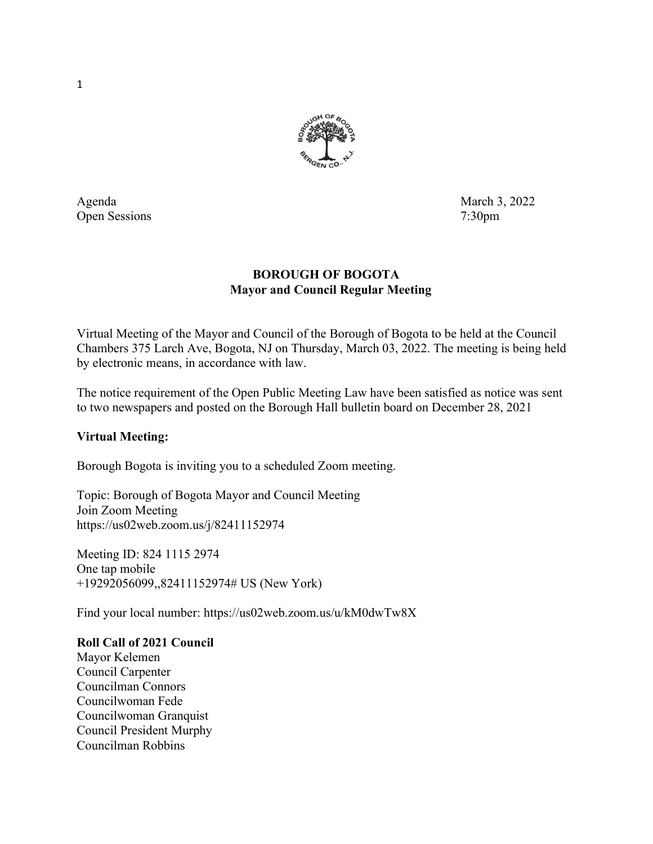

Open Sessions 7:30pm

Agenda March 3, 2022

# BOROUGH OF BOGOTA Mayor and Council Regular Meeting

Virtual Meeting of the Mayor and Council of the Borough of Bogota to be held at the Council Chambers 375 Larch Ave, Bogota, NJ on Thursday, March 03, 2022. The meeting is being held by electronic means, in accordance with law.

The notice requirement of the Open Public Meeting Law have been satisfied as notice was sent to two newspapers and posted on the Borough Hall bulletin board on December 28, 2021

# Virtual Meeting:

Borough Bogota is inviting you to a scheduled Zoom meeting.

Topic: Borough of Bogota Mayor and Council Meeting Join Zoom Meeting https://us02web.zoom.us/j/82411152974

Meeting ID: 824 1115 2974 One tap mobile +19292056099,,82411152974# US (New York)

Find your local number: https://us02web.zoom.us/u/kM0dwTw8X

### Roll Call of 2021 Council

Mayor Kelemen Council Carpenter Councilman Connors Councilwoman Fede Councilwoman Granquist Council President Murphy Councilman Robbins